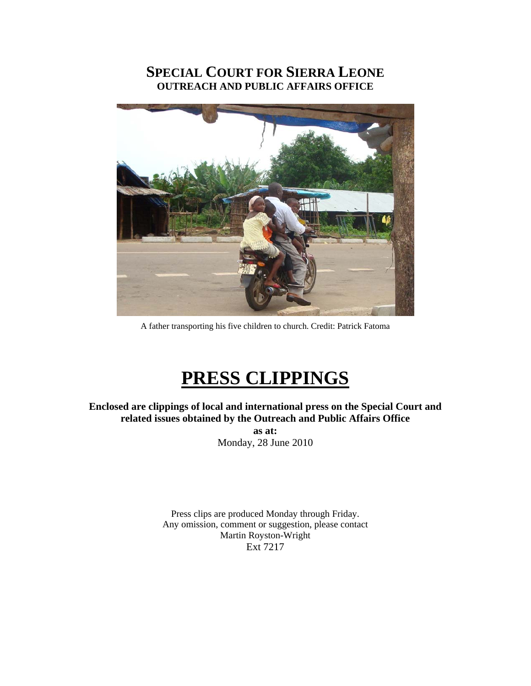## **SPECIAL COURT FOR SIERRA LEONE OUTREACH AND PUBLIC AFFAIRS OFFICE**



A father transporting his five children to church. Credit: Patrick Fatoma

# **PRESS CLIPPINGS**

**Enclosed are clippings of local and international press on the Special Court and related issues obtained by the Outreach and Public Affairs Office as at:**  Monday, 28 June 2010

> Press clips are produced Monday through Friday. Any omission, comment or suggestion, please contact Martin Royston-Wright Ext 7217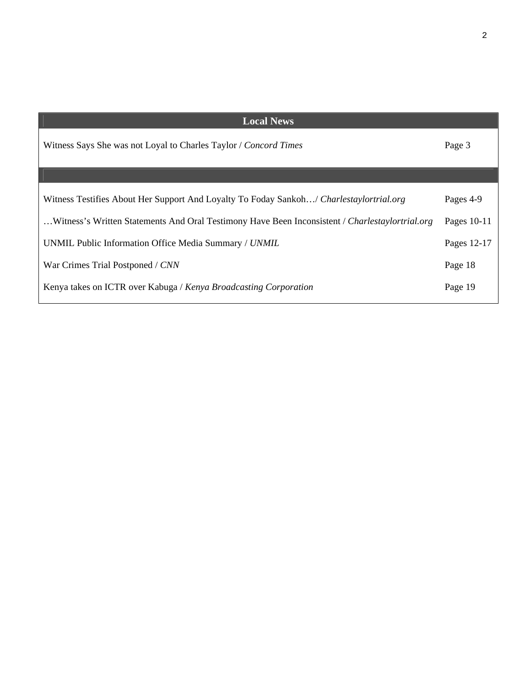| <b>Local News</b>                                                                               |             |
|-------------------------------------------------------------------------------------------------|-------------|
| Witness Says She was not Loyal to Charles Taylor / Concord Times                                | Page 3      |
|                                                                                                 |             |
| Witness Testifies About Her Support And Loyalty To Foday Sankoh/ Charlestaylortrial.org         | Pages 4-9   |
| Witness's Written Statements And Oral Testimony Have Been Inconsistent / Charlestaylortrial.org | Pages 10-11 |
| UNMIL Public Information Office Media Summary / UNMIL                                           | Pages 12-17 |
| War Crimes Trial Postponed / CNN                                                                | Page 18     |
| Kenya takes on ICTR over Kabuga / Kenya Broadcasting Corporation                                | Page 19     |

2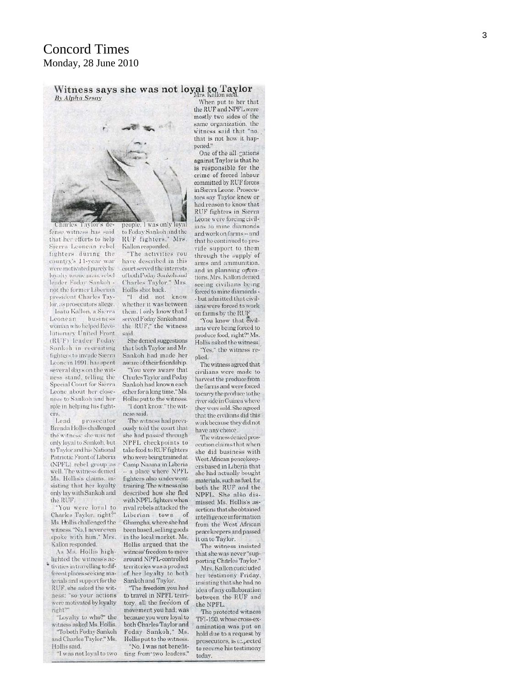## Concord Times Monday, 28 June 2010

Witness says she was not loyal to Taylor By Alpha Sesay



Charles Taylor's defense witness has said that her efforts to help Sierra Leonean rebel fighters during the countiv's 11-year war were motivated purely by lovalty to one man: rebel leader Foday Sankoh not the former Liberian president Charles Taylor, as prosecutors allege.

Isatu Kallon, a Sierra Leonean business woman who helped Revolutionary United Front (RUF) leader Foday Sankoh in recruiting fighters to invade Sierra Leone in 1991, has spent several days on the witness stand, telling the Special Court for Sierra Leone about her closeness to Sankoh and her role in helping his fighters.

Lead prosecutor Brenda Hollis challenged the witness: she was not only loval to Sankoh, but to Taylor and his National Patriotic Front of Liberia (NPFL) rebel group as well. The witness denied Ms. Hollis's claims, insisting that her loyalty only lay with Sankoh and the RUF.

'You were loval to Charles Taylor, right?" Ms. Hollis challenged the witness. "No. I never even spoke with him." Mrs. Kallon responded.

As Ms. Hollis highlighted the witness's activities in travelling to different places seeking materials and support for the RUF, she asked the witness: "so your actions were motivated by loyalty right?"

"Loyalty to who?" the witness asked Ms. Hollis. "To both Foday Sankoh and Charles Taylor," Ms. Hollis said

"I was not loyal to two

people. I was only loyal to Foday Sankoh and the RUF fighters." Mrs. Kallon responded.

"The activities you have described in this court served the interests of both Foday Sankoh and Charles Taylor," Mrs. Hollis shot back.

"I did not know whether it was between them. I only know that I served Foday Sankoh and the RUF," the witness said.

She denied suggestions that both Taylor and Mr. Sankoh had made her aware of their friendship.

"You were aware that. Charles Taylor and Foday Sankoh had known each other for a long time." Ms. Hollis put to the witness.

"I don't know " the witness said.

The witness had previously told the court that she had passed through NPFL checkpoints to take food to RUF fighters who were being trained at Camp Naama in Liberia -- a place where NPFL fighters also underwent training. The witness also described how she fled with NPFL fighters when rival rebels attacked the Liberian town of Gbarngha, where she had been based, selling goods in the local market. Ms. Hollis argued that the witness' freedom to move around NPFL-controlled territories was a product of her loyalty to both Sankoh and Taylor.

"The freedom you had to travel in NPFL territory, all the freedom of movement you had, was because you were loyal to both Charles Taylor and Foday Sankoh," Ms. Hollis put to the witness. "No. I was not benefit-

ting from two leaders.

When put to her that the RUF and NPFL were mostly two sides of the same organization, the witness said that "no. that is not how it happened."

One of the all gations against Taylor is that he is responsible for the crime of forced labour committed by RUF forces in Sierra Leone. Prosecutors say Taylor knew or had reason to know that RUF fighters in Sierra Leone were forcing civilians to mine diamonds and work on farms -- and that he continued to provide support to them through the supply of arms and ammunition. and in planning operations. Mrs. Kallon denied seeing civilians being forced to mine diamonds -- but admitted that civilians were forced to work on farms by the RUF.

"You know that civilians were being forced to produce food, right?" Ms. Hollis asked the witness. "Yes." the witness re-

plied.

The witness agreed that civilians were made to harvest the produce from the farms and were forced to carry the produce to the river side in Guinea where they were sold. She agreed that the civilians did this work because they did not have any choice.

The witness denied prosecution claims that when she did business with West African peacekeepers based in Liberia that she had actually bought materials, such as fuel, for both the RUF and the NPFL. She also dismissed Ms. Hollis's assertions that she obtained intelligence information from the West African peacekeepers and passed it on to Taylor.

The witness insisted that she was never "supporting Charles Taylor."

Mrs. Kallon concluded her testimony Friday. insisting that she had no idea of any collaboration between the RUF and the NPFL.

The protected witness TFI-190, whose cross-examination was put on hold due to a request by prosecutors, is  $\varepsilon$ : pected to resume his testimony today.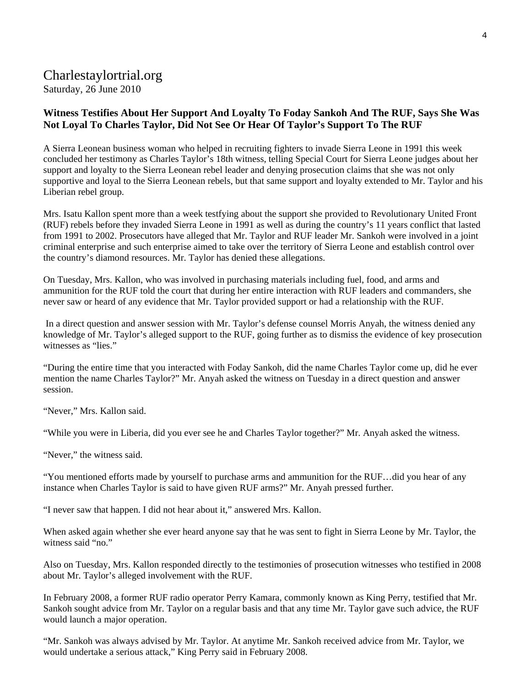## Charlestaylortrial.org

Saturday, 26 June 2010

## **Witness Testifies About Her Support And Loyalty To Foday Sankoh And The RUF, Says She Was Not Loyal To Charles Taylor, Did Not See Or Hear Of Taylor's Support To The RUF**

A Sierra Leonean business woman who helped in recruiting fighters to invade Sierra Leone in 1991 this week concluded her testimony as Charles Taylor's 18th witness, telling Special Court for Sierra Leone judges about her support and loyalty to the Sierra Leonean rebel leader and denying prosecution claims that she was not only supportive and loyal to the Sierra Leonean rebels, but that same support and loyalty extended to Mr. Taylor and his Liberian rebel group.

Mrs. Isatu Kallon spent more than a week testfying about the support she provided to Revolutionary United Front (RUF) rebels before they invaded Sierra Leone in 1991 as well as during the country's 11 years conflict that lasted from 1991 to 2002. Prosecutors have alleged that Mr. Taylor and RUF leader Mr. Sankoh were involved in a joint criminal enterprise and such enterprise aimed to take over the territory of Sierra Leone and establish control over the country's diamond resources. Mr. Taylor has denied these allegations.

On Tuesday, Mrs. Kallon, who was involved in purchasing materials including fuel, food, and arms and ammunition for the RUF told the court that during her entire interaction with RUF leaders and commanders, she never saw or heard of any evidence that Mr. Taylor provided support or had a relationship with the RUF.

 In a direct question and answer session with Mr. Taylor's defense counsel Morris Anyah, the witness denied any knowledge of Mr. Taylor's alleged support to the RUF, going further as to dismiss the evidence of key prosecution witnesses as "lies."

"During the entire time that you interacted with Foday Sankoh, did the name Charles Taylor come up, did he ever mention the name Charles Taylor?" Mr. Anyah asked the witness on Tuesday in a direct question and answer session.

"Never," Mrs. Kallon said.

"While you were in Liberia, did you ever see he and Charles Taylor together?" Mr. Anyah asked the witness.

"Never," the witness said.

"You mentioned efforts made by yourself to purchase arms and ammunition for the RUF…did you hear of any instance when Charles Taylor is said to have given RUF arms?" Mr. Anyah pressed further.

"I never saw that happen. I did not hear about it," answered Mrs. Kallon.

When asked again whether she ever heard anyone say that he was sent to fight in Sierra Leone by Mr. Taylor, the witness said "no."

Also on Tuesday, Mrs. Kallon responded directly to the testimonies of prosecution witnesses who testified in 2008 about Mr. Taylor's alleged involvement with the RUF.

In February 2008, a former RUF radio operator Perry Kamara, commonly known as King Perry, testified that Mr. Sankoh sought advice from Mr. Taylor on a regular basis and that any time Mr. Taylor gave such advice, the RUF would launch a major operation.

"Mr. Sankoh was always advised by Mr. Taylor. At anytime Mr. Sankoh received advice from Mr. Taylor, we would undertake a serious attack," King Perry said in February 2008.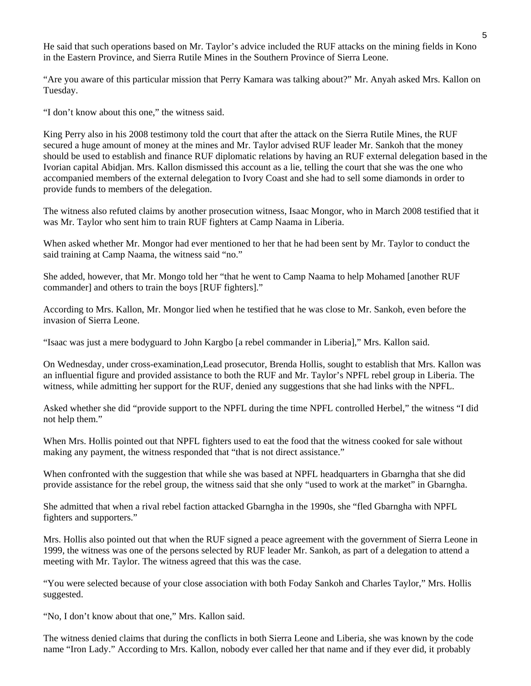He said that such operations based on Mr. Taylor's advice included the RUF attacks on the mining fields in Kono in the Eastern Province, and Sierra Rutile Mines in the Southern Province of Sierra Leone.

"Are you aware of this particular mission that Perry Kamara was talking about?" Mr. Anyah asked Mrs. Kallon on Tuesday.

"I don't know about this one," the witness said.

King Perry also in his 2008 testimony told the court that after the attack on the Sierra Rutile Mines, the RUF secured a huge amount of money at the mines and Mr. Taylor advised RUF leader Mr. Sankoh that the money should be used to establish and finance RUF diplomatic relations by having an RUF external delegation based in the Ivorian capital Abidjan. Mrs. Kallon dismissed this account as a lie, telling the court that she was the one who accompanied members of the external delegation to Ivory Coast and she had to sell some diamonds in order to provide funds to members of the delegation.

The witness also refuted claims by another prosecution witness, Isaac Mongor, who in March 2008 testified that it was Mr. Taylor who sent him to train RUF fighters at Camp Naama in Liberia.

When asked whether Mr. Mongor had ever mentioned to her that he had been sent by Mr. Taylor to conduct the said training at Camp Naama, the witness said "no."

She added, however, that Mr. Mongo told her "that he went to Camp Naama to help Mohamed [another RUF commander] and others to train the boys [RUF fighters]."

According to Mrs. Kallon, Mr. Mongor lied when he testified that he was close to Mr. Sankoh, even before the invasion of Sierra Leone.

"Isaac was just a mere bodyguard to John Kargbo [a rebel commander in Liberia]," Mrs. Kallon said.

On Wednesday, under cross-examination,Lead prosecutor, Brenda Hollis, sought to establish that Mrs. Kallon was an influential figure and provided assistance to both the RUF and Mr. Taylor's NPFL rebel group in Liberia. The witness, while admitting her support for the RUF, denied any suggestions that she had links with the NPFL.

Asked whether she did "provide support to the NPFL during the time NPFL controlled Herbel," the witness "I did not help them."

When Mrs. Hollis pointed out that NPFL fighters used to eat the food that the witness cooked for sale without making any payment, the witness responded that "that is not direct assistance."

When confronted with the suggestion that while she was based at NPFL headquarters in Gbarngha that she did provide assistance for the rebel group, the witness said that she only "used to work at the market" in Gbarngha.

She admitted that when a rival rebel faction attacked Gbarngha in the 1990s, she "fled Gbarngha with NPFL fighters and supporters."

Mrs. Hollis also pointed out that when the RUF signed a peace agreement with the government of Sierra Leone in 1999, the witness was one of the persons selected by RUF leader Mr. Sankoh, as part of a delegation to attend a meeting with Mr. Taylor. The witness agreed that this was the case.

"You were selected because of your close association with both Foday Sankoh and Charles Taylor," Mrs. Hollis suggested.

"No, I don't know about that one," Mrs. Kallon said.

The witness denied claims that during the conflicts in both Sierra Leone and Liberia, she was known by the code name "Iron Lady." According to Mrs. Kallon, nobody ever called her that name and if they ever did, it probably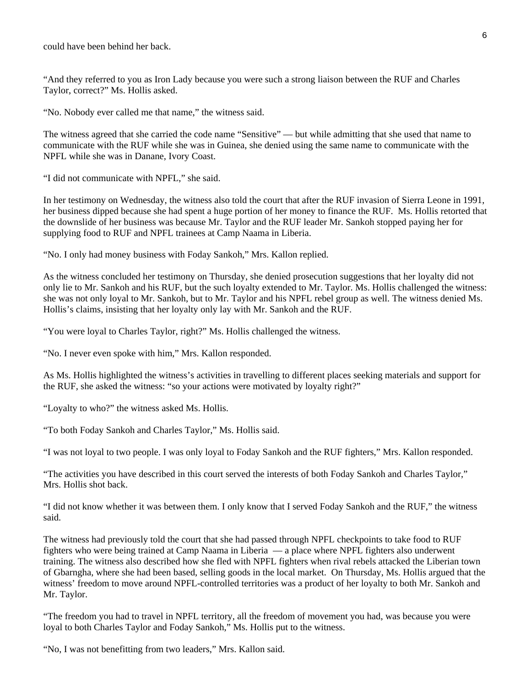could have been behind her back.

"And they referred to you as Iron Lady because you were such a strong liaison between the RUF and Charles Taylor, correct?" Ms. Hollis asked.

"No. Nobody ever called me that name," the witness said.

The witness agreed that she carried the code name "Sensitive" — but while admitting that she used that name to communicate with the RUF while she was in Guinea, she denied using the same name to communicate with the NPFL while she was in Danane, Ivory Coast.

"I did not communicate with NPFL," she said.

In her testimony on Wednesday, the witness also told the court that after the RUF invasion of Sierra Leone in 1991, her business dipped because she had spent a huge portion of her money to finance the RUF. Ms. Hollis retorted that the downslide of her business was because Mr. Taylor and the RUF leader Mr. Sankoh stopped paying her for supplying food to RUF and NPFL trainees at Camp Naama in Liberia.

"No. I only had money business with Foday Sankoh," Mrs. Kallon replied.

As the witness concluded her testimony on Thursday, she denied prosecution suggestions that her loyalty did not only lie to Mr. Sankoh and his RUF, but the such loyalty extended to Mr. Taylor. Ms. Hollis challenged the witness: she was not only loyal to Mr. Sankoh, but to Mr. Taylor and his NPFL rebel group as well. The witness denied Ms. Hollis's claims, insisting that her loyalty only lay with Mr. Sankoh and the RUF.

"You were loyal to Charles Taylor, right?" Ms. Hollis challenged the witness.

"No. I never even spoke with him," Mrs. Kallon responded.

As Ms. Hollis highlighted the witness's activities in travelling to different places seeking materials and support for the RUF, she asked the witness: "so your actions were motivated by loyalty right?"

"Loyalty to who?" the witness asked Ms. Hollis.

"To both Foday Sankoh and Charles Taylor," Ms. Hollis said.

"I was not loyal to two people. I was only loyal to Foday Sankoh and the RUF fighters," Mrs. Kallon responded.

"The activities you have described in this court served the interests of both Foday Sankoh and Charles Taylor," Mrs. Hollis shot back.

"I did not know whether it was between them. I only know that I served Foday Sankoh and the RUF," the witness said.

The witness had previously told the court that she had passed through NPFL checkpoints to take food to RUF fighters who were being trained at Camp Naama in Liberia — a place where NPFL fighters also underwent training. The witness also described how she fled with NPFL fighters when rival rebels attacked the Liberian town of Gbarngha, where she had been based, selling goods in the local market. On Thursday, Ms. Hollis argued that the witness' freedom to move around NPFL-controlled territories was a product of her loyalty to both Mr. Sankoh and Mr. Taylor.

"The freedom you had to travel in NPFL territory, all the freedom of movement you had, was because you were loyal to both Charles Taylor and Foday Sankoh," Ms. Hollis put to the witness.

"No, I was not benefitting from two leaders," Mrs. Kallon said.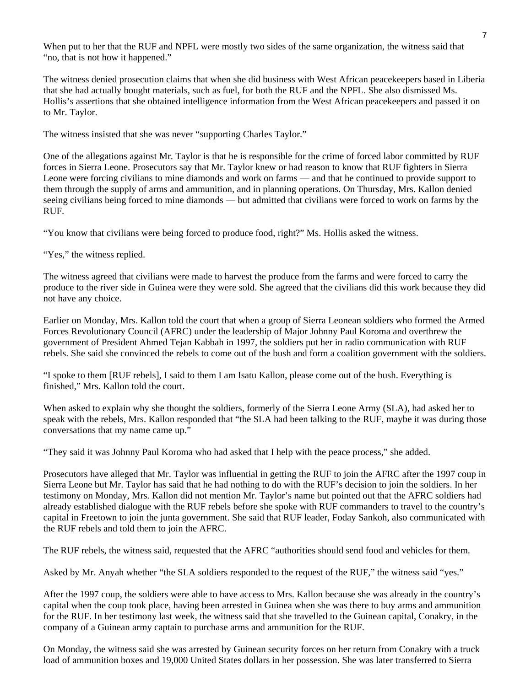When put to her that the RUF and NPFL were mostly two sides of the same organization, the witness said that "no, that is not how it happened."

The witness denied prosecution claims that when she did business with West African peacekeepers based in Liberia that she had actually bought materials, such as fuel, for both the RUF and the NPFL. She also dismissed Ms. Hollis's assertions that she obtained intelligence information from the West African peacekeepers and passed it on to Mr. Taylor.

The witness insisted that she was never "supporting Charles Taylor."

One of the allegations against Mr. Taylor is that he is responsible for the crime of forced labor committed by RUF forces in Sierra Leone. Prosecutors say that Mr. Taylor knew or had reason to know that RUF fighters in Sierra Leone were forcing civilians to mine diamonds and work on farms — and that he continued to provide support to them through the supply of arms and ammunition, and in planning operations. On Thursday, Mrs. Kallon denied seeing civilians being forced to mine diamonds — but admitted that civilians were forced to work on farms by the RUF.

"You know that civilians were being forced to produce food, right?" Ms. Hollis asked the witness.

"Yes," the witness replied.

The witness agreed that civilians were made to harvest the produce from the farms and were forced to carry the produce to the river side in Guinea were they were sold. She agreed that the civilians did this work because they did not have any choice.

Earlier on Monday, Mrs. Kallon told the court that when a group of Sierra Leonean soldiers who formed the Armed Forces Revolutionary Council (AFRC) under the leadership of Major Johnny Paul Koroma and overthrew the government of President Ahmed Tejan Kabbah in 1997, the soldiers put her in radio communication with RUF rebels. She said she convinced the rebels to come out of the bush and form a coalition government with the soldiers.

"I spoke to them [RUF rebels], I said to them I am Isatu Kallon, please come out of the bush. Everything is finished," Mrs. Kallon told the court.

When asked to explain why she thought the soldiers, formerly of the Sierra Leone Army (SLA), had asked her to speak with the rebels, Mrs. Kallon responded that "the SLA had been talking to the RUF, maybe it was during those conversations that my name came up."

"They said it was Johnny Paul Koroma who had asked that I help with the peace process," she added.

Prosecutors have alleged that Mr. Taylor was influential in getting the RUF to join the AFRC after the 1997 coup in Sierra Leone but Mr. Taylor has said that he had nothing to do with the RUF's decision to join the soldiers. In her testimony on Monday, Mrs. Kallon did not mention Mr. Taylor's name but pointed out that the AFRC soldiers had already established dialogue with the RUF rebels before she spoke with RUF commanders to travel to the country's capital in Freetown to join the junta government. She said that RUF leader, Foday Sankoh, also communicated with the RUF rebels and told them to join the AFRC.

The RUF rebels, the witness said, requested that the AFRC "authorities should send food and vehicles for them.

Asked by Mr. Anyah whether "the SLA soldiers responded to the request of the RUF," the witness said "yes."

After the 1997 coup, the soldiers were able to have access to Mrs. Kallon because she was already in the country's capital when the coup took place, having been arrested in Guinea when she was there to buy arms and ammunition for the RUF. In her testimony last week, the witness said that she travelled to the Guinean capital, Conakry, in the company of a Guinean army captain to purchase arms and ammunition for the RUF.

On Monday, the witness said she was arrested by Guinean security forces on her return from Conakry with a truck load of ammunition boxes and 19,000 United States dollars in her possession. She was later transferred to Sierra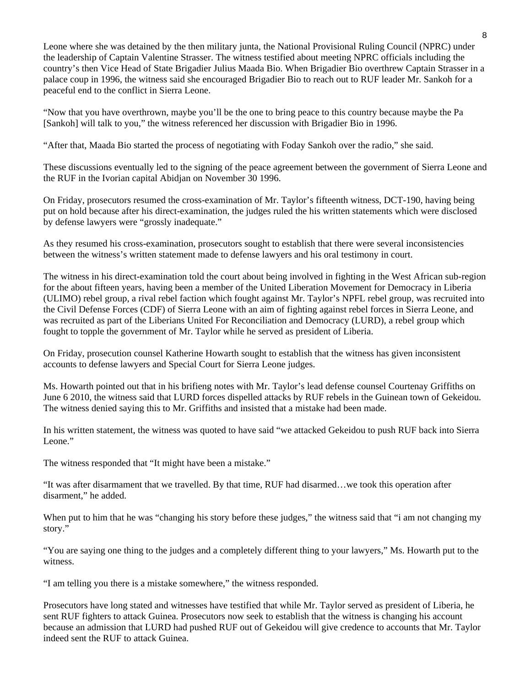Leone where she was detained by the then military junta, the National Provisional Ruling Council (NPRC) under the leadership of Captain Valentine Strasser. The witness testified about meeting NPRC officials including the country's then Vice Head of State Brigadier Julius Maada Bio. When Brigadier Bio overthrew Captain Strasser in a palace coup in 1996, the witness said she encouraged Brigadier Bio to reach out to RUF leader Mr. Sankoh for a peaceful end to the conflict in Sierra Leone.

"Now that you have overthrown, maybe you'll be the one to bring peace to this country because maybe the Pa [Sankoh] will talk to you," the witness referenced her discussion with Brigadier Bio in 1996.

"After that, Maada Bio started the process of negotiating with Foday Sankoh over the radio," she said.

These discussions eventually led to the signing of the peace agreement between the government of Sierra Leone and the RUF in the Ivorian capital Abidjan on November 30 1996.

On Friday, prosecutors resumed the cross-examination of Mr. Taylor's fifteenth witness, DCT-190, having being put on hold because after his direct-examination, the judges ruled the his written statements which were disclosed by defense lawyers were "grossly inadequate."

As they resumed his cross-examination, prosecutors sought to establish that there were several inconsistencies between the witness's written statement made to defense lawyers and his oral testimony in court.

The witness in his direct-examination told the court about being involved in fighting in the West African sub-region for the about fifteen years, having been a member of the United Liberation Movement for Democracy in Liberia (ULIMO) rebel group, a rival rebel faction which fought against Mr. Taylor's NPFL rebel group, was recruited into the Civil Defense Forces (CDF) of Sierra Leone with an aim of fighting against rebel forces in Sierra Leone, and was recruited as part of the Liberians United For Reconciliation and Democracy (LURD), a rebel group which fought to topple the government of Mr. Taylor while he served as president of Liberia.

On Friday, prosecution counsel Katherine Howarth sought to establish that the witness has given inconsistent accounts to defense lawyers and Special Court for Sierra Leone judges.

Ms. Howarth pointed out that in his brifieng notes with Mr. Taylor's lead defense counsel Courtenay Griffiths on June 6 2010, the witness said that LURD forces dispelled attacks by RUF rebels in the Guinean town of Gekeidou. The witness denied saying this to Mr. Griffiths and insisted that a mistake had been made.

In his written statement, the witness was quoted to have said "we attacked Gekeidou to push RUF back into Sierra Leone."

The witness responded that "It might have been a mistake."

"It was after disarmament that we travelled. By that time, RUF had disarmed…we took this operation after disarment," he added.

When put to him that he was "changing his story before these judges," the witness said that "i am not changing my story."

"You are saying one thing to the judges and a completely different thing to your lawyers," Ms. Howarth put to the witness.

"I am telling you there is a mistake somewhere," the witness responded.

Prosecutors have long stated and witnesses have testified that while Mr. Taylor served as president of Liberia, he sent RUF fighters to attack Guinea. Prosecutors now seek to establish that the witness is changing his account because an admission that LURD had pushed RUF out of Gekeidou will give credence to accounts that Mr. Taylor indeed sent the RUF to attack Guinea.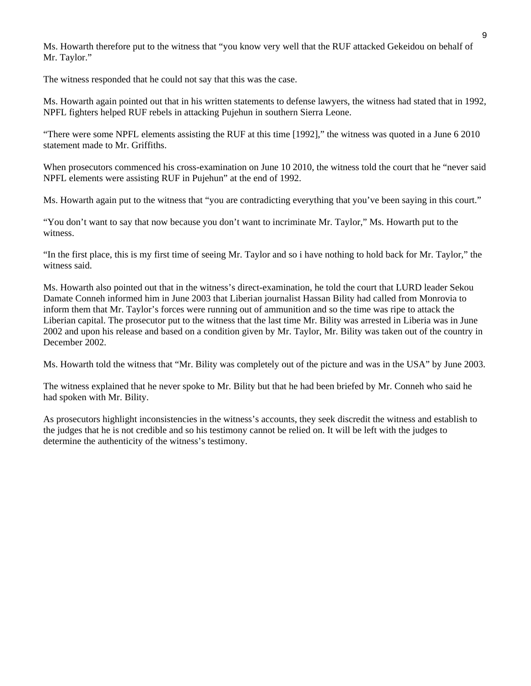Ms. Howarth therefore put to the witness that "you know very well that the RUF attacked Gekeidou on behalf of Mr. Taylor."

The witness responded that he could not say that this was the case.

Ms. Howarth again pointed out that in his written statements to defense lawyers, the witness had stated that in 1992, NPFL fighters helped RUF rebels in attacking Pujehun in southern Sierra Leone.

"There were some NPFL elements assisting the RUF at this time [1992]," the witness was quoted in a June 6 2010 statement made to Mr. Griffiths.

When prosecutors commenced his cross-examination on June 10 2010, the witness told the court that he "never said NPFL elements were assisting RUF in Pujehun" at the end of 1992.

Ms. Howarth again put to the witness that "you are contradicting everything that you've been saying in this court."

"You don't want to say that now because you don't want to incriminate Mr. Taylor," Ms. Howarth put to the witness.

"In the first place, this is my first time of seeing Mr. Taylor and so i have nothing to hold back for Mr. Taylor," the witness said.

Ms. Howarth also pointed out that in the witness's direct-examination, he told the court that LURD leader Sekou Damate Conneh informed him in June 2003 that Liberian journalist Hassan Bility had called from Monrovia to inform them that Mr. Taylor's forces were running out of ammunition and so the time was ripe to attack the Liberian capital. The prosecutor put to the witness that the last time Mr. Bility was arrested in Liberia was in June 2002 and upon his release and based on a condition given by Mr. Taylor, Mr. Bility was taken out of the country in December 2002.

Ms. Howarth told the witness that "Mr. Bility was completely out of the picture and was in the USA" by June 2003.

The witness explained that he never spoke to Mr. Bility but that he had been briefed by Mr. Conneh who said he had spoken with Mr. Bility.

As prosecutors highlight inconsistencies in the witness's accounts, they seek discredit the witness and establish to the judges that he is not credible and so his testimony cannot be relied on. It will be left with the judges to determine the authenticity of the witness's testimony.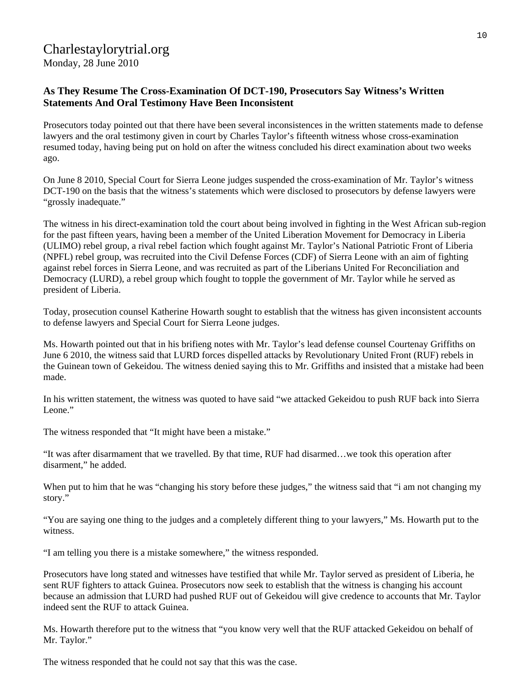## Charlestaylorytrial.org

Monday, 28 June 2010

## **As They Resume The Cross-Examination Of DCT-190, Prosecutors Say Witness's Written Statements And Oral Testimony Have Been Inconsistent**

Prosecutors today pointed out that there have been several inconsistences in the written statements made to defense lawyers and the oral testimony given in court by Charles Taylor's fifteenth witness whose cross-examination resumed today, having being put on hold on after the witness concluded his direct examination about two weeks ago.

On June 8 2010, Special Court for Sierra Leone judges suspended the cross-examination of Mr. Taylor's witness DCT-190 on the basis that the witness's statements which were disclosed to prosecutors by defense lawyers were "grossly inadequate."

The witness in his direct-examination told the court about being involved in fighting in the West African sub-region for the past fifteen years, having been a member of the United Liberation Movement for Democracy in Liberia (ULIMO) rebel group, a rival rebel faction which fought against Mr. Taylor's National Patriotic Front of Liberia (NPFL) rebel group, was recruited into the Civil Defense Forces (CDF) of Sierra Leone with an aim of fighting against rebel forces in Sierra Leone, and was recruited as part of the Liberians United For Reconciliation and Democracy (LURD), a rebel group which fought to topple the government of Mr. Taylor while he served as president of Liberia.

Today, prosecution counsel Katherine Howarth sought to establish that the witness has given inconsistent accounts to defense lawyers and Special Court for Sierra Leone judges.

Ms. Howarth pointed out that in his brifieng notes with Mr. Taylor's lead defense counsel Courtenay Griffiths on June 6 2010, the witness said that LURD forces dispelled attacks by Revolutionary United Front (RUF) rebels in the Guinean town of Gekeidou. The witness denied saying this to Mr. Griffiths and insisted that a mistake had been made.

In his written statement, the witness was quoted to have said "we attacked Gekeidou to push RUF back into Sierra Leone."

The witness responded that "It might have been a mistake."

"It was after disarmament that we travelled. By that time, RUF had disarmed…we took this operation after disarment," he added.

When put to him that he was "changing his story before these judges," the witness said that "i am not changing my story."

"You are saying one thing to the judges and a completely different thing to your lawyers," Ms. Howarth put to the witness.

"I am telling you there is a mistake somewhere," the witness responded.

Prosecutors have long stated and witnesses have testified that while Mr. Taylor served as president of Liberia, he sent RUF fighters to attack Guinea. Prosecutors now seek to establish that the witness is changing his account because an admission that LURD had pushed RUF out of Gekeidou will give credence to accounts that Mr. Taylor indeed sent the RUF to attack Guinea.

Ms. Howarth therefore put to the witness that "you know very well that the RUF attacked Gekeidou on behalf of Mr. Taylor."

The witness responded that he could not say that this was the case.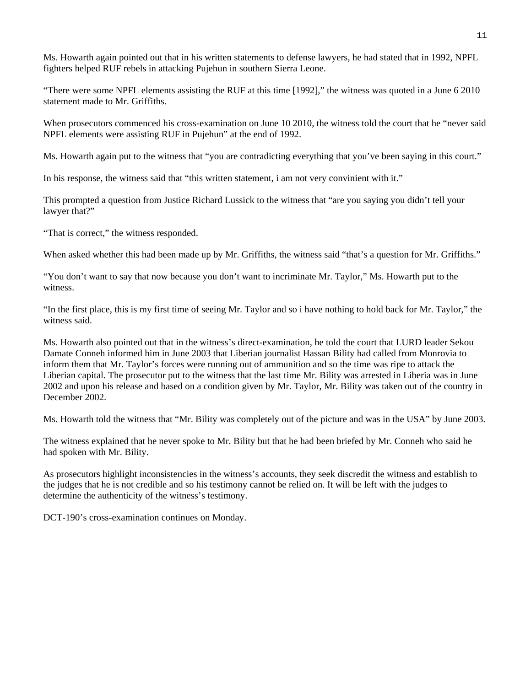Ms. Howarth again pointed out that in his written statements to defense lawyers, he had stated that in 1992, NPFL fighters helped RUF rebels in attacking Pujehun in southern Sierra Leone.

"There were some NPFL elements assisting the RUF at this time [1992]," the witness was quoted in a June 6 2010 statement made to Mr. Griffiths.

When prosecutors commenced his cross-examination on June 10 2010, the witness told the court that he "never said NPFL elements were assisting RUF in Pujehun" at the end of 1992.

Ms. Howarth again put to the witness that "you are contradicting everything that you've been saying in this court."

In his response, the witness said that "this written statement, i am not very convinient with it."

This prompted a question from Justice Richard Lussick to the witness that "are you saying you didn't tell your lawyer that?"

"That is correct," the witness responded.

When asked whether this had been made up by Mr. Griffiths, the witness said "that's a question for Mr. Griffiths."

"You don't want to say that now because you don't want to incriminate Mr. Taylor," Ms. Howarth put to the witness.

"In the first place, this is my first time of seeing Mr. Taylor and so i have nothing to hold back for Mr. Taylor," the witness said.

Ms. Howarth also pointed out that in the witness's direct-examination, he told the court that LURD leader Sekou Damate Conneh informed him in June 2003 that Liberian journalist Hassan Bility had called from Monrovia to inform them that Mr. Taylor's forces were running out of ammunition and so the time was ripe to attack the Liberian capital. The prosecutor put to the witness that the last time Mr. Bility was arrested in Liberia was in June 2002 and upon his release and based on a condition given by Mr. Taylor, Mr. Bility was taken out of the country in December 2002.

Ms. Howarth told the witness that "Mr. Bility was completely out of the picture and was in the USA" by June 2003.

The witness explained that he never spoke to Mr. Bility but that he had been briefed by Mr. Conneh who said he had spoken with Mr. Bility.

As prosecutors highlight inconsistencies in the witness's accounts, they seek discredit the witness and establish to the judges that he is not credible and so his testimony cannot be relied on. It will be left with the judges to determine the authenticity of the witness's testimony.

DCT-190's cross-examination continues on Monday.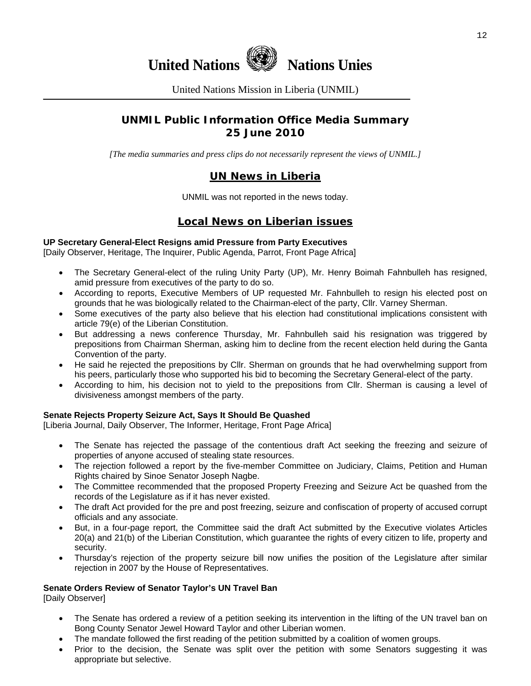



United Nations Mission in Liberia (UNMIL)

## **UNMIL Public Information Office Media Summary 25 June 2010**

*[The media summaries and press clips do not necessarily represent the views of UNMIL.]* 

## **UN News in Liberia**

UNMIL was not reported in the news today.

## **Local News on Liberian issues**

#### **UP Secretary General-Elect Resigns amid Pressure from Party Executives**

[Daily Observer, Heritage, The Inquirer, Public Agenda, Parrot, Front Page Africa]

- The Secretary General-elect of the ruling Unity Party (UP), Mr. Henry Boimah Fahnbulleh has resigned, amid pressure from executives of the party to do so.
- According to reports, Executive Members of UP requested Mr. Fahnbulleh to resign his elected post on grounds that he was biologically related to the Chairman-elect of the party, Cllr. Varney Sherman.
- Some executives of the party also believe that his election had constitutional implications consistent with article 79(e) of the Liberian Constitution.
- But addressing a news conference Thursday, Mr. Fahnbulleh said his resignation was triggered by prepositions from Chairman Sherman, asking him to decline from the recent election held during the Ganta Convention of the party.
- He said he rejected the prepositions by Cllr. Sherman on grounds that he had overwhelming support from his peers, particularly those who supported his bid to becoming the Secretary General-elect of the party.
- According to him, his decision not to yield to the prepositions from Cllr. Sherman is causing a level of divisiveness amongst members of the party.

#### **Senate Rejects Property Seizure Act, Says It Should Be Quashed**

[Liberia Journal, Daily Observer, The Informer, Heritage, Front Page Africa]

- The Senate has rejected the passage of the contentious draft Act seeking the freezing and seizure of properties of anyone accused of stealing state resources.
- The rejection followed a report by the five-member Committee on Judiciary, Claims, Petition and Human Rights chaired by Sinoe Senator Joseph Nagbe.
- The Committee recommended that the proposed Property Freezing and Seizure Act be quashed from the records of the Legislature as if it has never existed.
- The draft Act provided for the pre and post freezing, seizure and confiscation of property of accused corrupt officials and any associate.
- But, in a four-page report, the Committee said the draft Act submitted by the Executive violates Articles 20(a) and 21(b) of the Liberian Constitution, which guarantee the rights of every citizen to life, property and security.
- Thursday's rejection of the property seizure bill now unifies the position of the Legislature after similar rejection in 2007 by the House of Representatives.

## **Senate Orders Review of Senator Taylor's UN Travel Ban**

[Daily Observer]

- The Senate has ordered a review of a petition seeking its intervention in the lifting of the UN travel ban on Bong County Senator Jewel Howard Taylor and other Liberian women.
- The mandate followed the first reading of the petition submitted by a coalition of women groups.
- Prior to the decision, the Senate was split over the petition with some Senators suggesting it was appropriate but selective.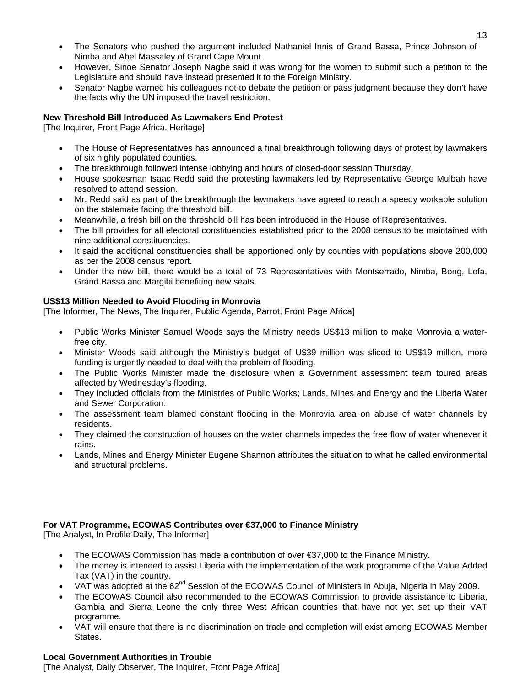- The Senators who pushed the argument included Nathaniel Innis of Grand Bassa, Prince Johnson of Nimba and Abel Massaley of Grand Cape Mount.
- However, Sinoe Senator Joseph Nagbe said it was wrong for the women to submit such a petition to the Legislature and should have instead presented it to the Foreign Ministry.
- Senator Nagbe warned his colleagues not to debate the petition or pass judgment because they don't have the facts why the UN imposed the travel restriction.

#### **New Threshold Bill Introduced As Lawmakers End Protest**

[The Inquirer, Front Page Africa, Heritage]

- The House of Representatives has announced a final breakthrough following days of protest by lawmakers of six highly populated counties.
- The breakthrough followed intense lobbying and hours of closed-door session Thursday.
- House spokesman Isaac Redd said the protesting lawmakers led by Representative George Mulbah have resolved to attend session.
- Mr. Redd said as part of the breakthrough the lawmakers have agreed to reach a speedy workable solution on the stalemate facing the threshold bill.
- Meanwhile, a fresh bill on the threshold bill has been introduced in the House of Representatives.
- The bill provides for all electoral constituencies established prior to the 2008 census to be maintained with nine additional constituencies.
- It said the additional constituencies shall be apportioned only by counties with populations above 200,000 as per the 2008 census report.
- Under the new bill, there would be a total of 73 Representatives with Montserrado, Nimba, Bong, Lofa, Grand Bassa and Margibi benefiting new seats.

#### **US\$13 Million Needed to Avoid Flooding in Monrovia**

[The Informer, The News, The Inquirer, Public Agenda, Parrot, Front Page Africa]

- Public Works Minister Samuel Woods says the Ministry needs US\$13 million to make Monrovia a waterfree city.
- Minister Woods said although the Ministry's budget of U\$39 million was sliced to US\$19 million, more funding is urgently needed to deal with the problem of flooding.
- The Public Works Minister made the disclosure when a Government assessment team toured areas affected by Wednesday's flooding.
- They included officials from the Ministries of Public Works; Lands, Mines and Energy and the Liberia Water and Sewer Corporation.
- The assessment team blamed constant flooding in the Monrovia area on abuse of water channels by residents.
- They claimed the construction of houses on the water channels impedes the free flow of water whenever it rains.
- Lands, Mines and Energy Minister Eugene Shannon attributes the situation to what he called environmental and structural problems.

#### **For VAT Programme, ECOWAS Contributes over €37,000 to Finance Ministry**

[The Analyst, In Profile Daily, The Informer]

- The ECOWAS Commission has made a contribution of over €37,000 to the Finance Ministry.
- The money is intended to assist Liberia with the implementation of the work programme of the Value Added Tax (VAT) in the country.
- VAT was adopted at the 62<sup>nd</sup> Session of the ECOWAS Council of Ministers in Abuja, Nigeria in May 2009.
- The ECOWAS Council also recommended to the ECOWAS Commission to provide assistance to Liberia, Gambia and Sierra Leone the only three West African countries that have not yet set up their VAT programme.
- VAT will ensure that there is no discrimination on trade and completion will exist among ECOWAS Member States.

#### **Local Government Authorities in Trouble**

[The Analyst, Daily Observer, The Inquirer, Front Page Africa]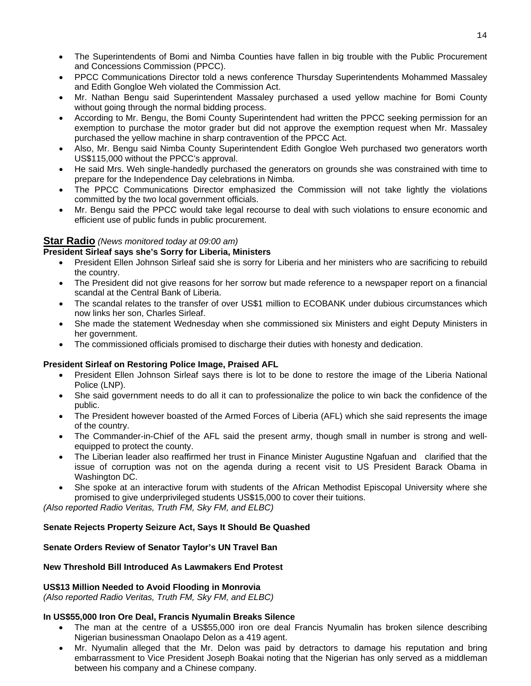- The Superintendents of Bomi and Nimba Counties have fallen in big trouble with the Public Procurement and Concessions Commission (PPCC).
- PPCC Communications Director told a news conference Thursday Superintendents Mohammed Massaley and Edith Gongloe Weh violated the Commission Act.
- Mr. Nathan Bengu said Superintendent Massaley purchased a used yellow machine for Bomi County without going through the normal bidding process.
- According to Mr. Bengu, the Bomi County Superintendent had written the PPCC seeking permission for an exemption to purchase the motor grader but did not approve the exemption request when Mr. Massaley purchased the yellow machine in sharp contravention of the PPCC Act.
- Also, Mr. Bengu said Nimba County Superintendent Edith Gongloe Weh purchased two generators worth US\$115,000 without the PPCC's approval.
- He said Mrs. Weh single-handedly purchased the generators on grounds she was constrained with time to prepare for the Independence Day celebrations in Nimba.
- The PPCC Communications Director emphasized the Commission will not take lightly the violations committed by the two local government officials.
- Mr. Bengu said the PPCC would take legal recourse to deal with such violations to ensure economic and efficient use of public funds in public procurement.

### **Star Radio** *(News monitored today at 09:00 am)*

#### **President Sirleaf says she's Sorry for Liberia, Ministers**

- President Ellen Johnson Sirleaf said she is sorry for Liberia and her ministers who are sacrificing to rebuild the country.
- The President did not give reasons for her sorrow but made reference to a newspaper report on a financial scandal at the Central Bank of Liberia.
- The scandal relates to the transfer of over US\$1 million to ECOBANK under dubious circumstances which now links her son, Charles Sirleaf.
- She made the statement Wednesday when she commissioned six Ministers and eight Deputy Ministers in her government.
- The commissioned officials promised to discharge their duties with honesty and dedication.

#### **President Sirleaf on Restoring Police Image, Praised AFL**

- President Ellen Johnson Sirleaf says there is lot to be done to restore the image of the Liberia National Police (LNP).
- She said government needs to do all it can to professionalize the police to win back the confidence of the public.
- The President however boasted of the Armed Forces of Liberia (AFL) which she said represents the image of the country.
- The Commander-in-Chief of the AFL said the present army, though small in number is strong and wellequipped to protect the county.
- The Liberian leader also reaffirmed her trust in Finance Minister Augustine Ngafuan and clarified that the issue of corruption was not on the agenda during a recent visit to US President Barack Obama in Washington DC.
- She spoke at an interactive forum with students of the African Methodist Episcopal University where she promised to give underprivileged students US\$15,000 to cover their tuitions.

*(Also reported Radio Veritas, Truth FM, Sky FM, and ELBC)*

#### **Senate Rejects Property Seizure Act, Says It Should Be Quashed**

#### **Senate Orders Review of Senator Taylor's UN Travel Ban**

#### **New Threshold Bill Introduced As Lawmakers End Protest**

#### **US\$13 Million Needed to Avoid Flooding in Monrovia**

*(Also reported Radio Veritas, Truth FM, Sky FM, and ELBC)*

#### **In US\$55,000 Iron Ore Deal, Francis Nyumalin Breaks Silence**

- The man at the centre of a US\$55,000 iron ore deal Francis Nyumalin has broken silence describing Nigerian businessman Onaolapo Delon as a 419 agent.
- Mr. Nyumalin alleged that the Mr. Delon was paid by detractors to damage his reputation and bring embarrassment to Vice President Joseph Boakai noting that the Nigerian has only served as a middleman between his company and a Chinese company.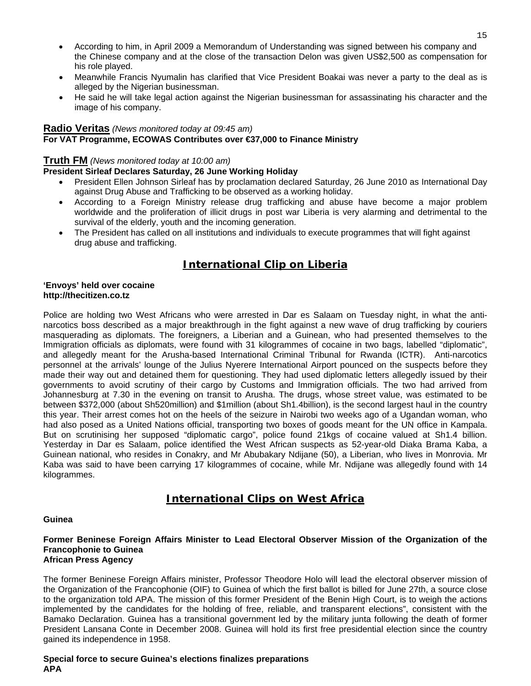- According to him, in April 2009 a Memorandum of Understanding was signed between his company and the Chinese company and at the close of the transaction Delon was given US\$2,500 as compensation for his role played.
- Meanwhile Francis Nyumalin has clarified that Vice President Boakai was never a party to the deal as is alleged by the Nigerian businessman.
- He said he will take legal action against the Nigerian businessman for assassinating his character and the image of his company.

#### **Radio Veritas** *(News monitored today at 09:45 am)*

#### **For VAT Programme, ECOWAS Contributes over €37,000 to Finance Ministry**

#### **Truth FM** *(News monitored today at 10:00 am)*

#### **President Sirleaf Declares Saturday, 26 June Working Holiday**

- President Ellen Johnson Sirleaf has by proclamation declared Saturday, 26 June 2010 as International Day against Drug Abuse and Trafficking to be observed as a working holiday.
- According to a Foreign Ministry release drug trafficking and abuse have become a major problem worldwide and the proliferation of illicit drugs in post war Liberia is very alarming and detrimental to the survival of the elderly, youth and the incoming generation.
- The President has called on all institutions and individuals to execute programmes that will fight against drug abuse and trafficking.

## **International Clip on Liberia**

#### **'Envoys' held over cocaine http://thecitizen.co.tz**

Police are holding two West Africans who were arrested in Dar es Salaam on Tuesday night, in what the antinarcotics boss described as a major breakthrough in the fight against a new wave of drug trafficking by couriers masquerading as diplomats. The foreigners, a Liberian and a Guinean, who had presented themselves to the Immigration officials as diplomats, were found with 31 kilogrammes of cocaine in two bags, labelled "diplomatic", and allegedly meant for the Arusha-based International Criminal Tribunal for Rwanda (ICTR). Anti-narcotics personnel at the arrivals' lounge of the Julius Nyerere International Airport pounced on the suspects before they made their way out and detained them for questioning. They had used diplomatic letters allegedly issued by their governments to avoid scrutiny of their cargo by Customs and Immigration officials. The two had arrived from Johannesburg at 7.30 in the evening on transit to Arusha. The drugs, whose street value, was estimated to be between \$372,000 (about Sh520million) and \$1million (about Sh1.4billion), is the second largest haul in the country this year. Their arrest comes hot on the heels of the seizure in Nairobi two weeks ago of a Ugandan woman, who had also posed as a United Nations official, transporting two boxes of goods meant for the UN office in Kampala. But on scrutinising her supposed "diplomatic cargo", police found 21kgs of cocaine valued at Sh1.4 billion. Yesterday in Dar es Salaam, police identified the West African suspects as 52-year-old Diaka Brama Kaba, a Guinean national, who resides in Conakry, and Mr Abubakary Ndijane (50), a Liberian, who lives in Monrovia. Mr Kaba was said to have been carrying 17 kilogrammes of cocaine, while Mr. Ndijane was allegedly found with 14 kilogrammes.

## **International Clips on West Africa**

#### **Guinea**

#### **Former Beninese Foreign Affairs Minister to Lead Electoral Observer Mission of the Organization of the Francophonie to Guinea African Press Agency**

The former Beninese Foreign Affairs minister, Professor Theodore Holo will lead the electoral observer mission of the Organization of the Francophonie (OIF) to Guinea of which the first ballot is billed for June 27th, a source close to the organization told APA. The mission of this former President of the Benin High Court, is to weigh the actions implemented by the candidates for the holding of free, reliable, and transparent elections", consistent with the Bamako Declaration. Guinea has a transitional government led by the military junta following the death of former President Lansana Conte in December 2008. Guinea will hold its first free presidential election since the country gained its independence in 1958.

**Special force to secure Guinea's elections finalizes preparations APA**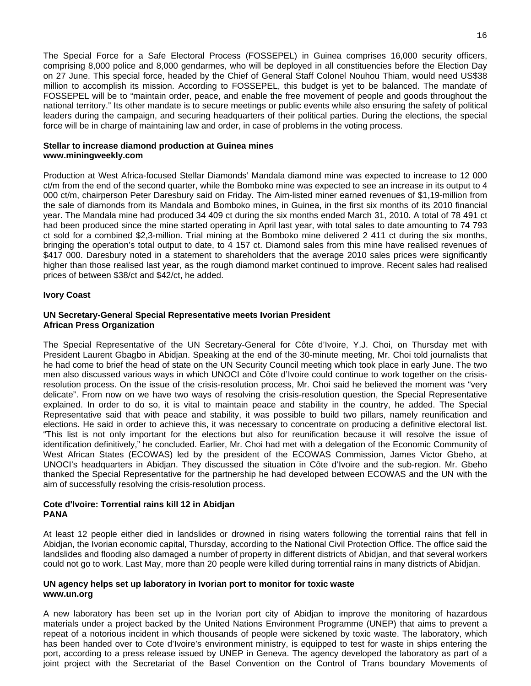The Special Force for a Safe Electoral Process (FOSSEPEL) in Guinea comprises 16,000 security officers, comprising 8,000 police and 8,000 gendarmes, who will be deployed in all constituencies before the Election Day on 27 June. This special force, headed by the Chief of General Staff Colonel Nouhou Thiam, would need US\$38 million to accomplish its mission. According to FOSSEPEL, this budget is yet to be balanced. The mandate of FOSSEPEL will be to "maintain order, peace, and enable the free movement of people and goods throughout the national territory." Its other mandate is to secure meetings or public events while also ensuring the safety of political leaders during the campaign, and securing headquarters of their political parties. During the elections, the special force will be in charge of maintaining law and order, in case of problems in the voting process.

#### **Stellar to increase diamond production at Guinea mines www.miningweekly.com**

Production at West Africa-focused Stellar Diamonds' Mandala diamond mine was expected to increase to 12 000 ct/m from the end of the second quarter, while the Bomboko mine was expected to see an increase in its output to 4 000 ct/m, chairperson Peter Daresbury said on Friday. The Aim-listed miner earned revenues of \$1,19-million from the sale of diamonds from its Mandala and Bomboko mines, in Guinea, in the first six months of its 2010 financial year. The Mandala mine had produced 34 409 ct during the six months ended March 31, 2010. A total of 78 491 ct had been produced since the mine started operating in April last year, with total sales to date amounting to 74 793 ct sold for a combined \$2,3-million. Trial mining at the Bomboko mine delivered 2 411 ct during the six months, bringing the operation's total output to date, to 4 157 ct. Diamond sales from this mine have realised revenues of \$417 000. Daresbury noted in a statement to shareholders that the average 2010 sales prices were significantly higher than those realised last year, as the rough diamond market continued to improve. Recent sales had realised prices of between \$38/ct and \$42/ct, he added.

#### **Ivory Coast**

#### **UN Secretary-General Special Representative meets Ivorian President African Press Organization**

The Special Representative of the UN Secretary-General for Côte d'Ivoire, Y.J. Choi, on Thursday met with President Laurent Gbagbo in Abidjan. Speaking at the end of the 30-minute meeting, Mr. Choi told journalists that he had come to brief the head of state on the UN Security Council meeting which took place in early June. The two men also discussed various ways in which UNOCI and Côte d'Ivoire could continue to work together on the crisisresolution process. On the issue of the crisis-resolution process, Mr. Choi said he believed the moment was "very delicate". From now on we have two ways of resolving the crisis-resolution question, the Special Representative explained. In order to do so, it is vital to maintain peace and stability in the country, he added. The Special Representative said that with peace and stability, it was possible to build two pillars, namely reunification and elections. He said in order to achieve this, it was necessary to concentrate on producing a definitive electoral list. "This list is not only important for the elections but also for reunification because it will resolve the issue of identification definitively," he concluded. Earlier, Mr. Choi had met with a delegation of the Economic Community of West African States (ECOWAS) led by the president of the ECOWAS Commission, James Victor Gbeho, at UNOCI's headquarters in Abidjan. They discussed the situation in Côte d'Ivoire and the sub-region. Mr. Gbeho thanked the Special Representative for the partnership he had developed between ECOWAS and the UN with the aim of successfully resolving the crisis-resolution process.

#### **Cote d'Ivoire: Torrential rains kill 12 in Abidjan PANA**

At least 12 people either died in landslides or drowned in rising waters following the torrential rains that fell in Abidjan, the Ivorian economic capital, Thursday, according to the National Civil Protection Office. The office said the landslides and flooding also damaged a number of property in different districts of Abidjan, and that several workers could not go to work. Last May, more than 20 people were killed during torrential rains in many districts of Abidjan.

#### **UN agency helps set up laboratory in Ivorian port to monitor for toxic waste www.un.org**

A new laboratory has been set up in the Ivorian port city of Abidjan to improve the monitoring of hazardous materials under a project backed by the United Nations Environment Programme (UNEP) that aims to prevent a repeat of a notorious incident in which thousands of people were sickened by toxic waste. The laboratory, which has been handed over to Cote d'Ivoire's environment ministry, is equipped to test for waste in ships entering the port, according to a press release issued by UNEP in Geneva. The agency developed the laboratory as part of a joint project with the Secretariat of the Basel Convention on the Control of Trans boundary Movements of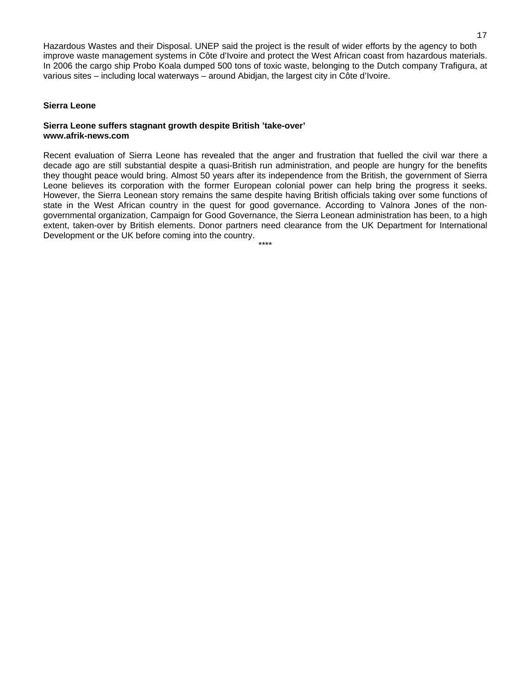Hazardous Wastes and their Disposal. UNEP said the project is the result of wider efforts by the agency to both improve waste management systems in Côte d'Ivoire and protect the West African coast from hazardous materials. In 2006 the cargo ship Probo Koala dumped 500 tons of toxic waste, belonging to the Dutch company Trafigura, at various sites – including local waterways – around Abidjan, the largest city in Côte d'Ivoire.

#### **Sierra Leone**

#### **Sierra Leone suffers stagnant growth despite British 'take-over' www.afrik-news.com**

Recent evaluation of Sierra Leone has revealed that the anger and frustration that fuelled the civil war there a decade ago are still substantial despite a quasi-British run administration, and people are hungry for the benefits they thought peace would bring. Almost 50 years after its independence from the British, the government of Sierra Leone believes its corporation with the former European colonial power can help bring the progress it seeks. However, the Sierra Leonean story remains the same despite having British officials taking over some functions of state in the West African country in the quest for good governance. According to Valnora Jones of the nongovernmental organization, Campaign for Good Governance, the Sierra Leonean administration has been, to a high extent, taken-over by British elements. Donor partners need clearance from the UK Department for International Development or the UK before coming into the country.

\*\*\*\*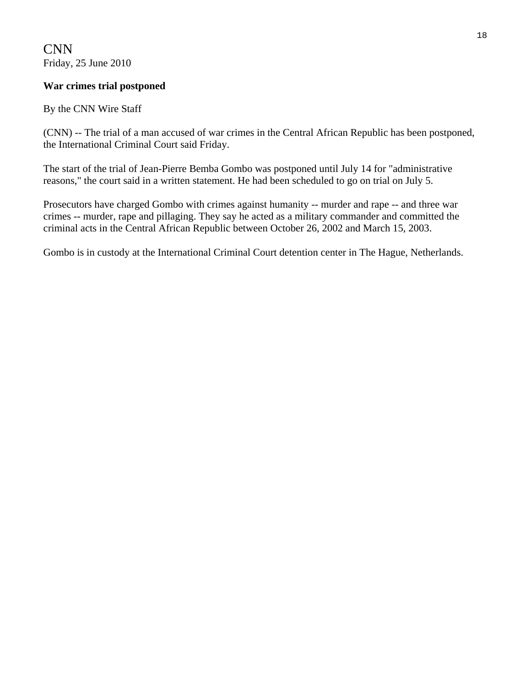CNN Friday, 25 June 2010

## **War crimes trial postponed**

## By the CNN Wire Staff

(CNN) -- The trial of a man accused of war crimes in the Central African Republic has been postponed, the International Criminal Court said Friday.

The start of the trial of Jean-Pierre Bemba Gombo was postponed until July 14 for "administrative reasons," the court said in a written statement. He had been scheduled to go on trial on July 5.

Prosecutors have charged Gombo with crimes against humanity -- murder and rape -- and three war crimes -- murder, rape and pillaging. They say he acted as a military commander and committed the criminal acts in the Central African Republic between October 26, 2002 and March 15, 2003.

Gombo is in custody at the International Criminal Court detention center in The Hague, Netherlands.